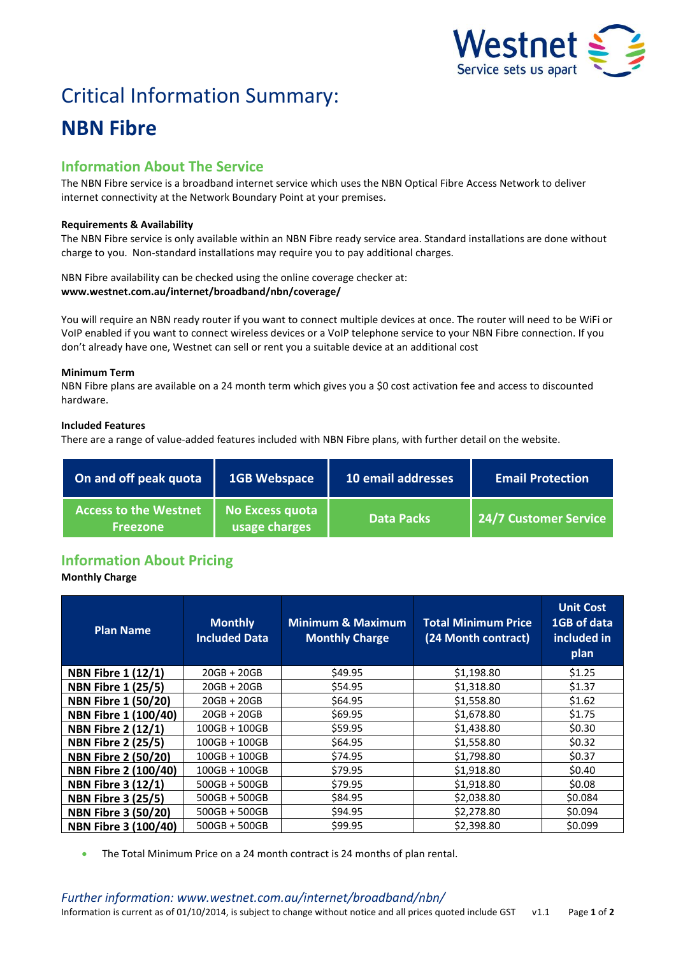

# Critical Information Summary: **NBN Fibre**

# **Information About The Service**

The NBN Fibre service is a broadband internet service which uses the NBN Optical Fibre Access Network to deliver internet connectivity at the Network Boundary Point at your premises.

# **Requirements & Availability**

The NBN Fibre service is only available within an NBN Fibre ready service area. Standard installations are done without charge to you. Non-standard installations may require you to pay additional charges.

NBN Fibre availability can be checked using the online coverage checker at: **www.westnet.com.au/internet/broadband/nbn/coverage/**

You will require an NBN ready router if you want to connect multiple devices at once. The router will need to be WiFi or VoIP enabled if you want to connect wireless devices or a VoIP telephone service to your NBN Fibre connection. If you don't already have one, Westnet can sell or rent you a suitable device at an additional cost

# **Minimum Term**

NBN Fibre plans are available on a 24 month term which gives you a \$0 cost activation fee and access to discounted hardware.

# **Included Features**

There are a range of value-added features included with NBN Fibre plans, with further detail on the website.

| On and off peak quota                           | <b>1GB Webspace</b>              | 10 email addresses | <b>Email Protection</b> |
|-------------------------------------------------|----------------------------------|--------------------|-------------------------|
| <b>Access to the Westnet</b><br><b>Freezone</b> | No Excess quota<br>usage charges | <b>Data Packs</b>  | 24/7 Customer Service   |

# **Information About Pricing**

# **Monthly Charge**

| <b>Plan Name</b>            | <b>Monthly</b><br><b>Included Data</b> | <b>Minimum &amp; Maximum</b><br><b>Monthly Charge</b> | <b>Total Minimum Price</b><br>(24 Month contract) | <b>Unit Cost</b><br>1GB of data<br>included in<br>plan |
|-----------------------------|----------------------------------------|-------------------------------------------------------|---------------------------------------------------|--------------------------------------------------------|
| <b>NBN Fibre 1 (12/1)</b>   | $20GB + 20GB$                          | \$49.95                                               | \$1,198.80                                        | \$1.25                                                 |
| <b>NBN Fibre 1 (25/5)</b>   | $20GB + 20GB$                          | \$54.95                                               | \$1,318.80                                        | \$1.37                                                 |
| <b>NBN Fibre 1 (50/20)</b>  | $20GB + 20GB$                          | \$64.95                                               | \$1,558.80                                        | \$1.62                                                 |
| NBN Fibre 1 (100/40)        | $20GB + 20GB$                          | \$69.95                                               | \$1,678.80                                        | \$1.75                                                 |
| <b>NBN Fibre 2 (12/1)</b>   | $100GB + 100GB$                        | \$59.95                                               | \$1,438.80                                        | \$0.30                                                 |
| <b>NBN Fibre 2 (25/5)</b>   | $100GB + 100GB$                        | \$64.95                                               | \$1,558.80                                        | \$0.32                                                 |
| <b>NBN Fibre 2 (50/20)</b>  | $100GB + 100GB$                        | \$74.95                                               | \$1,798.80                                        | \$0.37                                                 |
| <b>NBN Fibre 2 (100/40)</b> | $100GB + 100GB$                        | \$79.95                                               | \$1,918.80                                        | \$0.40                                                 |
| <b>NBN Fibre 3 (12/1)</b>   | 500GB + 500GB                          | \$79.95                                               | \$1,918.80                                        | \$0.08                                                 |
| <b>NBN Fibre 3 (25/5)</b>   | 500GB + 500GB                          | \$84.95                                               | \$2,038.80                                        | \$0.084                                                |
| <b>NBN Fibre 3 (50/20)</b>  | 500GB + 500GB                          | \$94.95                                               | \$2,278.80                                        | \$0.094                                                |
| <b>NBN Fibre 3 (100/40)</b> | $500GB + 500GB$                        | \$99.95                                               | \$2,398.80                                        | \$0.099                                                |

The Total Minimum Price on a 24 month contract is 24 months of plan rental.